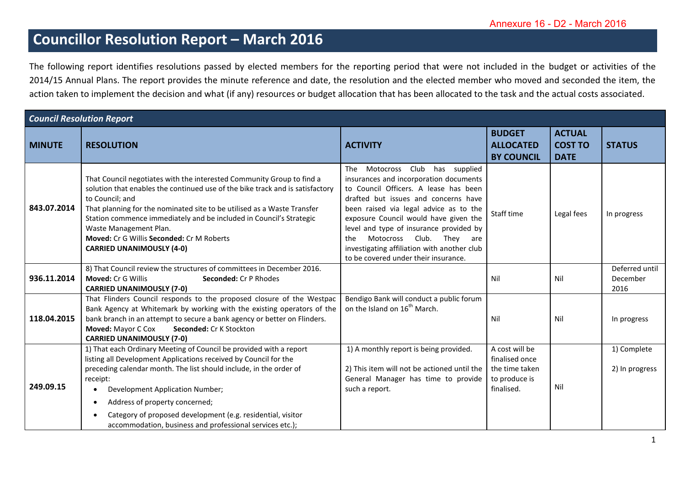## **Councillor Resolution Report – March 2016**

The following report identifies resolutions passed by elected members for the reporting period that were not included in the budget or activities of the 2014/15 Annual Plans. The report provides the minute reference and date, the resolution and the elected member who moved and seconded the item, the action taken to implement the decision and what (if any) resources or budget allocation that has been allocated to the task and the actual costs associated.

| <b>Council Resolution Report</b> |                                                                                                                                                                                                                                                                                                                                                                                                                                                                 |                                                                                                                                                                                                                                                                                                                                                                                                                       |                                                                                   |                                                |                                    |  |
|----------------------------------|-----------------------------------------------------------------------------------------------------------------------------------------------------------------------------------------------------------------------------------------------------------------------------------------------------------------------------------------------------------------------------------------------------------------------------------------------------------------|-----------------------------------------------------------------------------------------------------------------------------------------------------------------------------------------------------------------------------------------------------------------------------------------------------------------------------------------------------------------------------------------------------------------------|-----------------------------------------------------------------------------------|------------------------------------------------|------------------------------------|--|
| <b>MINUTE</b>                    | <b>RESOLUTION</b>                                                                                                                                                                                                                                                                                                                                                                                                                                               | <b>ACTIVITY</b>                                                                                                                                                                                                                                                                                                                                                                                                       | <b>BUDGET</b><br><b>ALLOCATED</b><br><b>BY COUNCIL</b>                            | <b>ACTUAL</b><br><b>COST TO</b><br><b>DATE</b> | <b>STATUS</b>                      |  |
| 843.07.2014                      | That Council negotiates with the interested Community Group to find a<br>solution that enables the continued use of the bike track and is satisfactory<br>to Council; and<br>That planning for the nominated site to be utilised as a Waste Transfer<br>Station commence immediately and be included in Council's Strategic<br>Waste Management Plan.<br>Moved: Cr G Willis Seconded: Cr M Roberts<br><b>CARRIED UNANIMOUSLY (4-0)</b>                          | Motocross Club has supplied<br>The<br>insurances and incorporation documents<br>to Council Officers. A lease has been<br>drafted but issues and concerns have<br>been raised via legal advice as to the<br>exposure Council would have given the<br>level and type of insurance provided by<br>Motocross Club. They are<br>the<br>investigating affiliation with another club<br>to be covered under their insurance. | Staff time                                                                        | Legal fees                                     | In progress                        |  |
| 936.11.2014                      | 8) That Council review the structures of committees in December 2016.<br>Moved: Cr G Willis<br><b>Seconded: Cr P Rhodes</b><br><b>CARRIED UNANIMOUSLY (7-0)</b>                                                                                                                                                                                                                                                                                                 |                                                                                                                                                                                                                                                                                                                                                                                                                       | Nil                                                                               | Nil                                            | Deferred until<br>December<br>2016 |  |
| 118.04.2015                      | That Flinders Council responds to the proposed closure of the Westpac<br>Bank Agency at Whitemark by working with the existing operators of the<br>bank branch in an attempt to secure a bank agency or better on Flinders.<br>Moved: Mayor C Cox<br>Seconded: Cr K Stockton<br><b>CARRIED UNANIMOUSLY (7-0)</b>                                                                                                                                                | Bendigo Bank will conduct a public forum<br>on the Island on 16 <sup>th</sup> March.                                                                                                                                                                                                                                                                                                                                  | Nil                                                                               | Nil                                            | In progress                        |  |
| 249.09.15                        | 1) That each Ordinary Meeting of Council be provided with a report<br>listing all Development Applications received by Council for the<br>preceding calendar month. The list should include, in the order of<br>receipt:<br>Development Application Number;<br>$\bullet$<br>Address of property concerned;<br>$\bullet$<br>Category of proposed development (e.g. residential, visitor<br>$\bullet$<br>accommodation, business and professional services etc.); | 1) A monthly report is being provided.<br>2) This item will not be actioned until the<br>General Manager has time to provide<br>such a report.                                                                                                                                                                                                                                                                        | A cost will be<br>finalised once<br>the time taken<br>to produce is<br>finalised. | Nil                                            | 1) Complete<br>2) In progress      |  |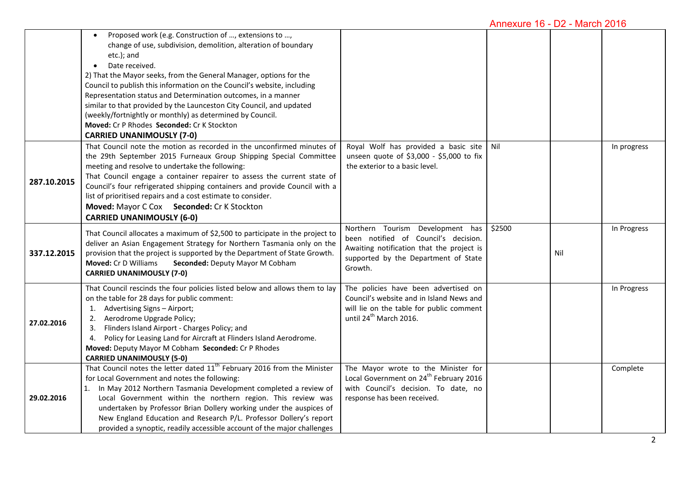## Annexure 16 - D2 - March 2016

|             | Proposed work (e.g. Construction of , extensions to ,<br>change of use, subdivision, demolition, alteration of boundary<br>etc.); and<br>Date received.<br>$\bullet$<br>2) That the Mayor seeks, from the General Manager, options for the<br>Council to publish this information on the Council's website, including<br>Representation status and Determination outcomes, in a manner<br>similar to that provided by the Launceston City Council, and updated<br>(weekly/fortnightly or monthly) as determined by Council.<br>Moved: Cr P Rhodes Seconded: Cr K Stockton<br><b>CARRIED UNANIMOUSLY (7-0)</b> |                                                                                                                                                                          |        |     |             |
|-------------|---------------------------------------------------------------------------------------------------------------------------------------------------------------------------------------------------------------------------------------------------------------------------------------------------------------------------------------------------------------------------------------------------------------------------------------------------------------------------------------------------------------------------------------------------------------------------------------------------------------|--------------------------------------------------------------------------------------------------------------------------------------------------------------------------|--------|-----|-------------|
| 287.10.2015 | That Council note the motion as recorded in the unconfirmed minutes of<br>the 29th September 2015 Furneaux Group Shipping Special Committee<br>meeting and resolve to undertake the following:<br>That Council engage a container repairer to assess the current state of<br>Council's four refrigerated shipping containers and provide Council with a<br>list of prioritised repairs and a cost estimate to consider.<br>Moved: Mayor C Cox Seconded: Cr K Stockton<br><b>CARRIED UNANIMOUSLY (6-0)</b>                                                                                                     | Royal Wolf has provided a basic site   Nil<br>unseen quote of \$3,000 - \$5,000 to fix<br>the exterior to a basic level.                                                 |        |     | In progress |
| 337.12.2015 | That Council allocates a maximum of \$2,500 to participate in the project to<br>deliver an Asian Engagement Strategy for Northern Tasmania only on the<br>provision that the project is supported by the Department of State Growth.<br>Moved: Cr D Williams<br>Seconded: Deputy Mayor M Cobham<br><b>CARRIED UNANIMOUSLY (7-0)</b>                                                                                                                                                                                                                                                                           | Northern Tourism Development has<br>been notified of Council's decision.<br>Awaiting notification that the project is<br>supported by the Department of State<br>Growth. | \$2500 | Nil | In Progress |
| 27.02.2016  | That Council rescinds the four policies listed below and allows them to lay<br>on the table for 28 days for public comment:<br>1. Advertising Signs - Airport;<br>2. Aerodrome Upgrade Policy;<br>3. Flinders Island Airport - Charges Policy; and<br>4. Policy for Leasing Land for Aircraft at Flinders Island Aerodrome.<br>Moved: Deputy Mayor M Cobham Seconded: Cr P Rhodes<br><b>CARRIED UNANIMOUSLY (5-0)</b>                                                                                                                                                                                         | The policies have been advertised on<br>Council's website and in Island News and<br>will lie on the table for public comment<br>until 24 <sup>th</sup> March 2016.       |        |     | In Progress |
| 29.02.2016  | That Council notes the letter dated $11th$ February 2016 from the Minister<br>for Local Government and notes the following:<br>In May 2012 Northern Tasmania Development completed a review of<br>1.<br>Local Government within the northern region. This review was<br>undertaken by Professor Brian Dollery working under the auspices of<br>New England Education and Research P/L. Professor Dollery's report<br>provided a synoptic, readily accessible account of the major challenges                                                                                                                  | The Mayor wrote to the Minister for<br>Local Government on 24 <sup>th</sup> February 2016<br>with Council's decision. To date, no<br>response has been received.         |        |     | Complete    |